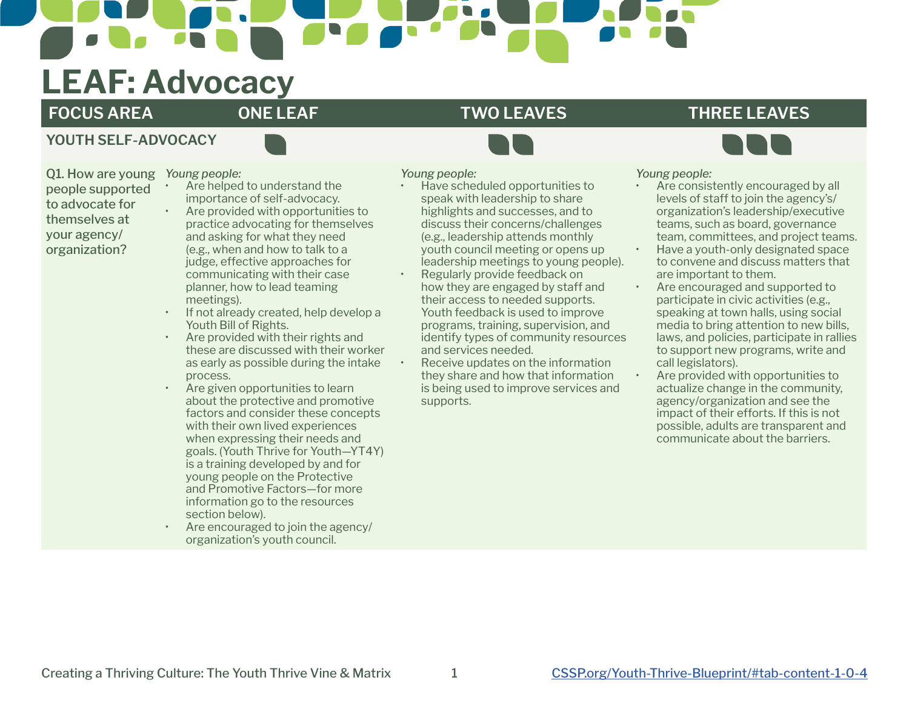# **LEAF: Advocacy**

# **FOCUS AREA ONE LEAF TWO LEAVES THREE LEAVES**

# **YOUTH SELF-ADVOCACY**

Q1. How are young people supported to advocate for themselves at your agency/ organization?

- *Young people:* Are helped to understand the importance of self-advocacy.
	- Are provided with opportunities to practice advocating for themselves and asking for what they need (e.g., when and how to talk to a judge, effective approaches for communicating with their case planner, how to lead teaming meetings).
- If not already created, help develop a Youth Bill of Rights.
- Are provided with their rights and these are discussed with their worker as early as possible during the intake process.
- Are given opportunities to learn about the protective and promotive factors and consider these concepts with their own lived experiences when expressing their needs and goals. (Youth Thrive for Youth—YT4Y) is a training developed by and for young people on the Protective and Promotive Factors—for more information go to the resources section below).
- Are encouraged to join the agency/ organization's youth council.

## *Young people:*

- Have scheduled opportunities to speak with leadership to share highlights and successes, and to discuss their concerns/challenges (e.g., leadership attends monthly youth council meeting or opens up leadership meetings to young people).
- Regularly provide feedback on how they are engaged by staff and their access to needed supports. Youth feedback is used to improve programs, training, supervision, and identify types of community resources and services needed.
- Receive updates on the information they share and how that information is being used to improve services and supports.

### *Young people:*

- Are consistently encouraged by all levels of staff to join the agency's/ organization's leadership/executive teams, such as board, governance team, committees, and project teams.
- Have a youth-only designated space to convene and discuss matters that are important to them.
- Are encouraged and supported to participate in civic activities (e.g., speaking at town halls, using social media to bring attention to new bills, laws, and policies, participate in rallies to support new programs, write and call legislators).
- Are provided with opportunities to actualize change in the community, agency/organization and see the impact of their efforts. If this is not possible, adults are transparent and communicate about the barriers.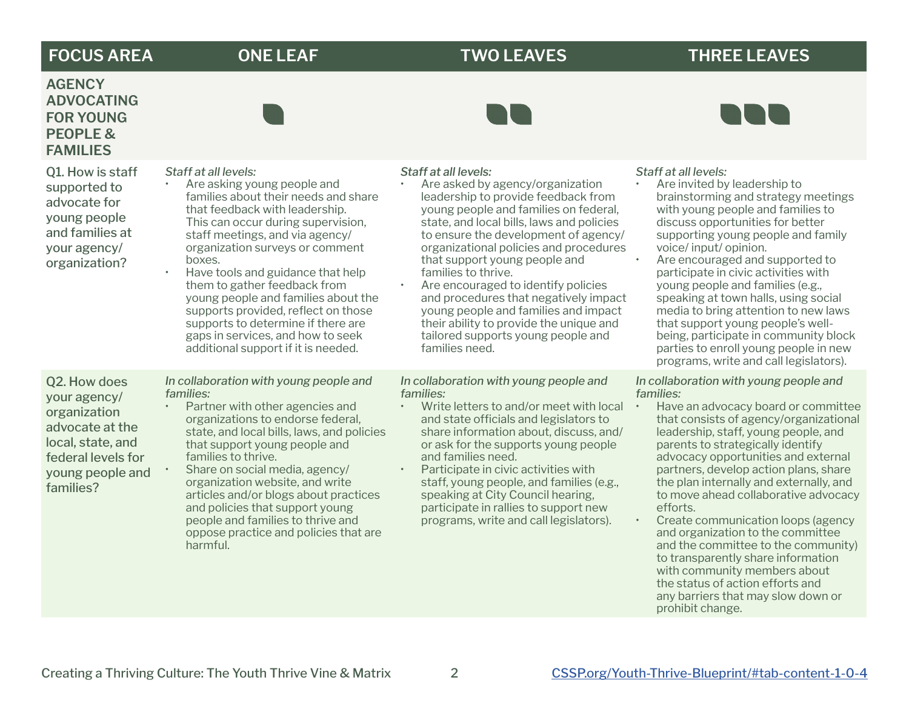# **FOCUS AREA ONE LEAF TWO LEAVES THREE LEAVES**

**DDD** 

# **AGENCY ADVOCATING FOR YOUNG PEOPLE & FAMILIES**

| <b>PEOPLE &amp;</b><br><b>FAMILIES</b>                                                                                                      |                                                                                                                                                                                                                                                                                                                                                                                                                                                                                                                          |                                                                                                                                                                                                                                                                                                                                                                                                                                                                                                                                                            |                                                                                                                                                                                                                                                                                                                                                                                                                                                                                                                                                                                                                                                                    |
|---------------------------------------------------------------------------------------------------------------------------------------------|--------------------------------------------------------------------------------------------------------------------------------------------------------------------------------------------------------------------------------------------------------------------------------------------------------------------------------------------------------------------------------------------------------------------------------------------------------------------------------------------------------------------------|------------------------------------------------------------------------------------------------------------------------------------------------------------------------------------------------------------------------------------------------------------------------------------------------------------------------------------------------------------------------------------------------------------------------------------------------------------------------------------------------------------------------------------------------------------|--------------------------------------------------------------------------------------------------------------------------------------------------------------------------------------------------------------------------------------------------------------------------------------------------------------------------------------------------------------------------------------------------------------------------------------------------------------------------------------------------------------------------------------------------------------------------------------------------------------------------------------------------------------------|
| Q1. How is staff<br>supported to<br>advocate for<br>young people<br>and families at<br>your agency/<br>organization?                        | Staff at all levels:<br>Are asking young people and<br>families about their needs and share<br>that feedback with leadership.<br>This can occur during supervision,<br>staff meetings, and via agency/<br>organization surveys or comment<br>boxes.<br>Have tools and guidance that help<br>them to gather feedback from<br>young people and families about the<br>supports provided, reflect on those<br>supports to determine if there are<br>gaps in services, and how to seek<br>additional support if it is needed. | Staff at all levels:<br>Are asked by agency/organization<br>leadership to provide feedback from<br>young people and families on federal,<br>state, and local bills, laws and policies<br>to ensure the development of agency/<br>organizational policies and procedures<br>that support young people and<br>families to thrive.<br>Are encouraged to identify policies<br>and procedures that negatively impact<br>young people and families and impact<br>their ability to provide the unique and<br>tailored supports young people and<br>families need. | Staff at all levels:<br>Are invited by leadership to<br>brainstorming and strategy meetings<br>with young people and families to<br>discuss opportunities for better<br>supporting young people and family<br>voice/input/opinion.<br>Are encouraged and supported to<br>participate in civic activities with<br>young people and families (e.g.,<br>speaking at town halls, using social<br>media to bring attention to new laws<br>that support young people's well-<br>being, participate in community block<br>parties to enroll young people in new<br>programs, write and call legislators).                                                                 |
| Q2. How does<br>your agency/<br>organization<br>advocate at the<br>local, state, and<br>federal levels for<br>young people and<br>families? | In collaboration with young people and<br>families:<br>Partner with other agencies and<br>organizations to endorse federal,<br>state, and local bills, laws, and policies<br>that support young people and<br>families to thrive.<br>Share on social media, agency/<br>organization website, and write<br>articles and/or blogs about practices<br>and policies that support young<br>people and families to thrive and<br>oppose practice and policies that are<br>harmful.                                             | In collaboration with young people and<br>families:<br>Write letters to and/or meet with local<br>and state officials and legislators to<br>share information about, discuss, and/<br>or ask for the supports young people<br>and families need.<br>Participate in civic activities with<br>staff, young people, and families (e.g.,<br>speaking at City Council hearing,<br>participate in rallies to support new<br>programs, write and call legislators).                                                                                               | In collaboration with young people and<br>families:<br>Have an advocacy board or committee<br>that consists of agency/organizational<br>leadership, staff, young people, and<br>parents to strategically identify<br>advocacy opportunities and external<br>partners, develop action plans, share<br>the plan internally and externally, and<br>to move ahead collaborative advocacy<br>efforts.<br>Create communication loops (agency<br>and organization to the committee<br>and the committee to the community)<br>to transparently share information<br>with community members about<br>the status of action efforts and<br>any barriers that may slow down or |

prohibit change.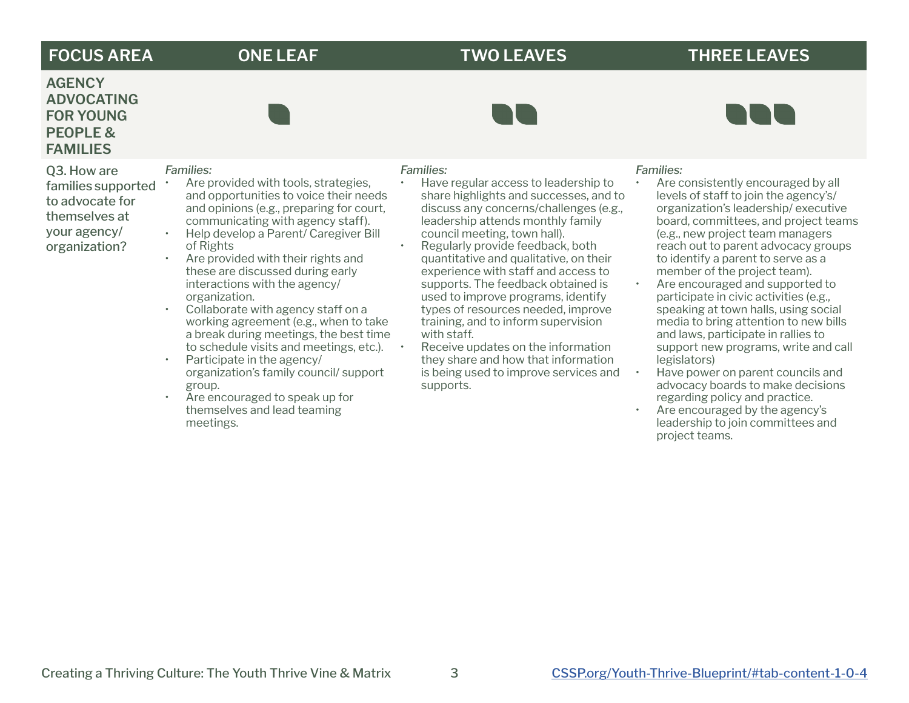# **FOCUS AREA ONE LEAF TWO LEAVES THREE LEAVES**

# **AGENCY ADVOCATING FOR YOUNG PEOPLE & FAMILIES**

Q3. How are families supported to advocate for themselves at your agency/ organization?



- Help develop a Parent/ Caregiver Bill of Rights
- Are provided with their rights and these are discussed during early interactions with the agency/ organization.
- Collaborate with agency staff on a working agreement (e.g., when to take a break during meetings, the best time to schedule visits and meetings, etc.).
- Participate in the agency/ organization's family council/ support group.
- Are encouraged to speak up for themselves and lead teaming meetings.

## *Families:*

- Have regular access to leadership to share highlights and successes, and to discuss any concerns/challenges (e.g., leadership attends monthly family council meeting, town hall).
- Regularly provide feedback, both quantitative and qualitative, on their experience with staff and access to supports. The feedback obtained is used to improve programs, identify types of resources needed, improve training, and to inform supervision with staff.
- Receive updates on the information they share and how that information is being used to improve services and supports.

### *Families:*

- Are consistently encouraged by all levels of staff to join the agency's/ organization's leadership/ executive board, committees, and project teams (e.g., new project team managers reach out to parent advocacy groups to identify a parent to serve as a member of the project team).
- Are encouraged and supported to participate in civic activities (e.g., speaking at town halls, using social media to bring attention to new bills and laws, participate in rallies to support new programs, write and call legislators)
- Have power on parent councils and advocacy boards to make decisions regarding policy and practice.
- Are encouraged by the agency's leadership to join committees and project teams.